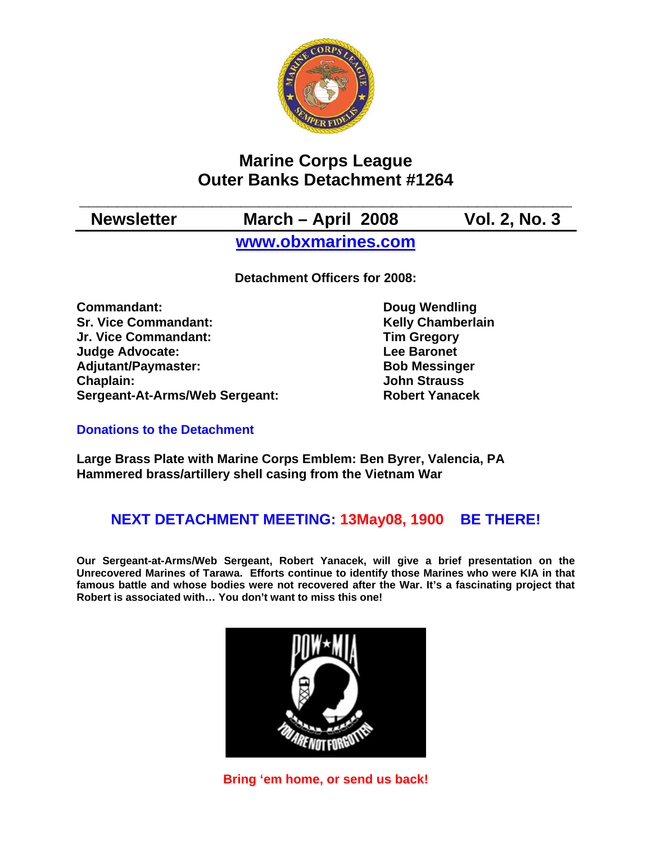

# **Marine Corps League Outer Banks Detachment #1264**

**\_\_\_\_\_\_\_\_\_\_\_\_\_\_\_\_\_\_\_\_\_\_\_\_\_\_\_\_\_\_\_\_\_\_\_\_\_\_\_\_\_\_\_\_\_\_\_\_\_\_\_\_ Newsletter March – April 2008 Vol. 2, No. 3** 

**[www.obxmarines.com](http://www.obxmarines.com/)**

**Detachment Officers for 2008:** 

**Commandant:** Doug Wendling **Sr. Vice Commandant:** Kelly Chamberlain **Kelly** Chamberlain Jr. Vice Commandant: **Jr. Vice Commandant: Judge Advocate:** The Contract Contract Lee Baronet Adjutant/Paymaster: Bob Messinger **Chaplain: John Strauss Sergeant-At-Arms/Web Sergeant: Robert Yanacek**

# **Donations to the Detachment**

**Large Brass Plate with Marine Corps Emblem: Ben Byrer, Valencia, PA Hammered brass/artillery shell casing from the Vietnam War** 

# **NEXT DETACHMENT MEETING: 13May08, 1900 BE THERE!**

**Our Sergeant-at-Arms/Web Sergeant, Robert Yanacek, will give a brief presentation on the Unrecovered Marines of Tarawa. Efforts continue to identify those Marines who were KIA in that famous battle and whose bodies were not recovered after the War. It's a fascinating project that Robert is associated with… You don't want to miss this one!** 



**Bring 'em home, or send us back!**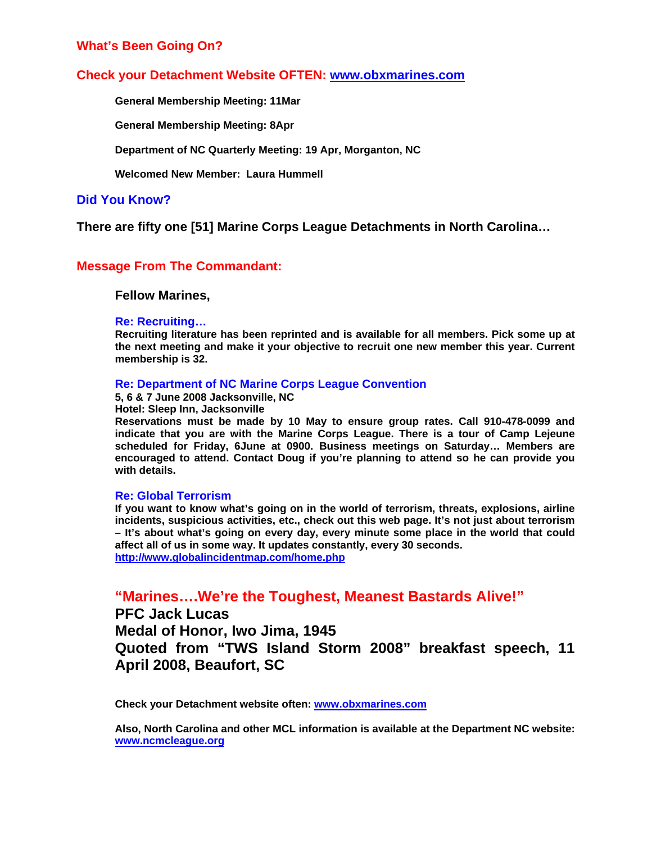## **What's Been Going On?**

### **Check your Detachment Website OFTEN: [www.obxmarines.com](http://www.obxmarines.com/)**

 **General Membership Meeting: 11Mar** 

**General Membership Meeting: 8Apr** 

**Department of NC Quarterly Meeting: 19 Apr, Morganton, NC** 

 **Welcomed New Member: Laura Hummell** 

#### **Did You Know?**

**There are fifty one [51] Marine Corps League Detachments in North Carolina…** 

## **Message From The Commandant:**

#### **Fellow Marines,**

#### **Re: Recruiting…**

**Recruiting literature has been reprinted and is available for all members. Pick some up at the next meeting and make it your objective to recruit one new member this year. Current membership is 32.** 

#### **Re: Department of NC Marine Corps League Convention**

**5, 6 & 7 June 2008 Jacksonville, NC** 

**Hotel: Sleep Inn, Jacksonville** 

**Reservations must be made by 10 May to ensure group rates. Call 910-478-0099 and indicate that you are with the Marine Corps League. There is a tour of Camp Lejeune scheduled for Friday, 6June at 0900. Business meetings on Saturday… Members are encouraged to attend. Contact Doug if you're planning to attend so he can provide you with details.** 

#### **Re: Global Terrorism**

**If you want to know what's going on in the world of terrorism, threats, explosions, airline incidents, suspicious activities, etc., check out this web page. It's not just about terrorism – It's about what's going on every day, every minute some place in the world that could affect all of us in some way. It updates constantly, every 30 seconds. <http://www.globalincidentmap.com/home.php>**

**"Marines….We're the Toughest, Meanest Bastards Alive!"** 

**PFC Jack Lucas Medal of Honor, Iwo Jima, 1945 Quoted from "TWS Island Storm 2008" breakfast speech, 11 April 2008, Beaufort, SC**

**Check your Detachment website often: [www.obxmarines.com](http://www.obxmarines.com/)**

**Also, North Carolina and other MCL information is available at the Department NC website: [www.ncmcleague.org](http://www.ncmcleague.org/)**